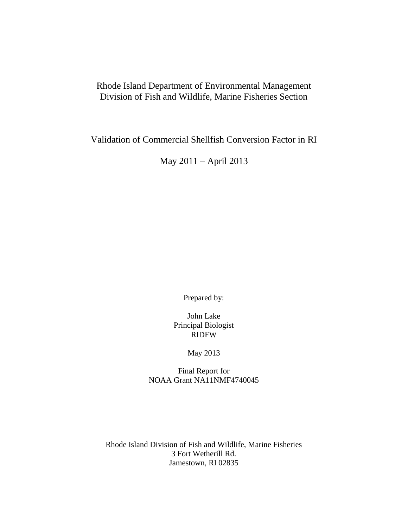# Rhode Island Department of Environmental Management Division of Fish and Wildlife, Marine Fisheries Section

Validation of Commercial Shellfish Conversion Factor in RI

May 2011 – April 2013

Prepared by:

John Lake Principal Biologist RIDFW

May 2013

Final Report for NOAA Grant NA11NMF4740045

Rhode Island Division of Fish and Wildlife, Marine Fisheries 3 Fort Wetherill Rd. Jamestown, RI 02835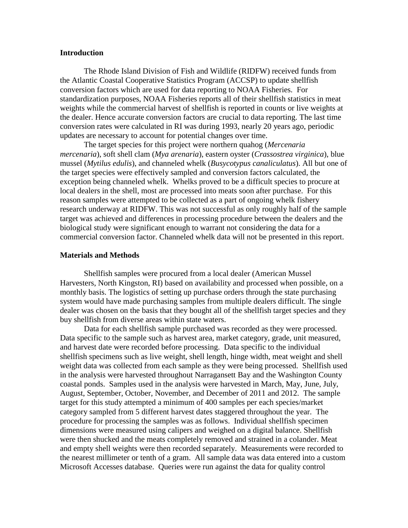#### **Introduction**

The Rhode Island Division of Fish and Wildlife (RIDFW) received funds from the Atlantic Coastal Cooperative Statistics Program (ACCSP) to update shellfish conversion factors which are used for data reporting to NOAA Fisheries. For standardization purposes, NOAA Fisheries reports all of their shellfish statistics in meat weights while the commercial harvest of shellfish is reported in counts or live weights at the dealer. Hence accurate conversion factors are crucial to data reporting. The last time conversion rates were calculated in RI was during 1993, nearly 20 years ago, periodic updates are necessary to account for potential changes over time.

The target species for this project were northern quahog (*Mercenaria mercenaria*), soft shell clam (*Mya arenaria*), eastern oyster (*Crassostrea virginica*), blue mussel (*Mytilus edulis*), and channeled whelk (*Busycotypus canaliculatus*). All but one of the target species were effectively sampled and conversion factors calculated, the exception being channeled whelk. Whelks proved to be a difficult species to procure at local dealers in the shell, most are processed into meats soon after purchase. For this reason samples were attempted to be collected as a part of ongoing whelk fishery research underway at RIDFW. This was not successful as only roughly half of the sample target was achieved and differences in processing procedure between the dealers and the biological study were significant enough to warrant not considering the data for a commercial conversion factor. Channeled whelk data will not be presented in this report.

#### **Materials and Methods**

Shellfish samples were procured from a local dealer (American Mussel Harvesters, North Kingston, RI) based on availability and processed when possible, on a monthly basis. The logistics of setting up purchase orders through the state purchasing system would have made purchasing samples from multiple dealers difficult. The single dealer was chosen on the basis that they bought all of the shellfish target species and they buy shellfish from diverse areas within state waters.

Data for each shellfish sample purchased was recorded as they were processed. Data specific to the sample such as harvest area, market category, grade, unit measured, and harvest date were recorded before processing. Data specific to the individual shellfish specimens such as live weight, shell length, hinge width, meat weight and shell weight data was collected from each sample as they were being processed. Shellfish used in the analysis were harvested throughout Narragansett Bay and the Washington County coastal ponds. Samples used in the analysis were harvested in March, May, June, July, August, September, October, November, and December of 2011 and 2012. The sample target for this study attempted a minimum of 400 samples per each species/market category sampled from 5 different harvest dates staggered throughout the year. The procedure for processing the samples was as follows. Individual shellfish specimen dimensions were measured using calipers and weighed on a digital balance. Shellfish were then shucked and the meats completely removed and strained in a colander. Meat and empty shell weights were then recorded separately. Measurements were recorded to the nearest millimeter or tenth of a gram. All sample data was data entered into a custom Microsoft Accesses database. Queries were run against the data for quality control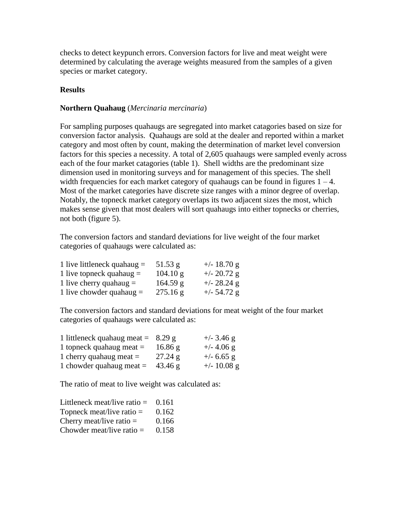checks to detect keypunch errors. Conversion factors for live and meat weight were determined by calculating the average weights measured from the samples of a given species or market category.

### **Results**

### **Northern Quahaug** (*Mercinaria mercinaria*)

For sampling purposes quahaugs are segregated into market catagories based on size for conversion factor analysis. Quahaugs are sold at the dealer and reported within a market category and most often by count, making the determination of market level conversion factors for this species a necessity. A total of 2,605 quahaugs were sampled evenly across each of the four market catagories (table 1). Shell widths are the predominant size dimension used in monitoring surveys and for management of this species. The shell width frequencies for each market category of quahaugs can be found in figures  $1 - 4$ . Most of the market categories have discrete size ranges with a minor degree of overlap. Notably, the topneck market category overlaps its two adjacent sizes the most, which makes sense given that most dealers will sort quahaugs into either topnecks or cherries, not both (figure 5).

The conversion factors and standard deviations for live weight of the four market categories of quahaugs were calculated as:

| 1 live littleneck quahaug $=$ | $51.53$ g          | $+/- 18.70$ g |
|-------------------------------|--------------------|---------------|
| 1 live topneck quahaug $=$    | $104.10 \text{ g}$ | $+/- 20.72$ g |
| 1 live cherry quahaug $=$     | 164.59 g           | $+/- 28.24$ g |
| 1 live chowder quahaug $=$    | 275.16 g           | $+/- 54.72$ g |

The conversion factors and standard deviations for meat weight of the four market categories of quahaugs were calculated as:

| 1 littleneck quahaug meat = $8.29 g$ |         | $+/-$ 3.46 g  |
|--------------------------------------|---------|---------------|
| 1 topneck quahaug meat $=$           | 16.86 g | $+/- 4.06$ g  |
| 1 cherry quahaug meat $=$            | 27.24 g | $+/- 6.65$ g  |
| 1 chowder quahaug meat $=$           | 43.46 g | $+/- 10.08$ g |

The ratio of meat to live weight was calculated as:

| Littleneck meat/live ratio $=$ | 0.161 |
|--------------------------------|-------|
| Topneck meat/live ratio $=$    | 0.162 |
| Cherry meat/live ratio $=$     | 0.166 |
| Chowder meat/live ratio $=$    | 0.158 |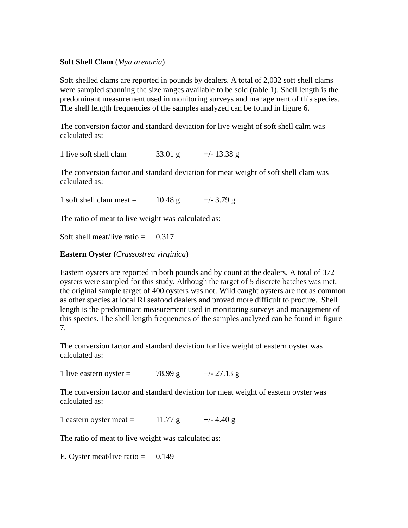### **Soft Shell Clam** (*Mya arenaria*)

Soft shelled clams are reported in pounds by dealers. A total of 2,032 soft shell clams were sampled spanning the size ranges available to be sold (table 1). Shell length is the predominant measurement used in monitoring surveys and management of this species. The shell length frequencies of the samples analyzed can be found in figure 6.

The conversion factor and standard deviation for live weight of soft shell calm was calculated as:

1 live soft shell clam =  $33.01 \text{ g}$  +/- 13.38 g

The conversion factor and standard deviation for meat weight of soft shell clam was calculated as:

1 soft shell clam meat =  $10.48 \text{ g}$  +/- 3.79 g

The ratio of meat to live weight was calculated as:

Soft shell meat/live ratio  $=$  0.317

**Eastern Oyster** (*Crassostrea virginica*)

Eastern oysters are reported in both pounds and by count at the dealers. A total of 372 oysters were sampled for this study. Although the target of 5 discrete batches was met, the original sample target of 400 oysters was not. Wild caught oysters are not as common as other species at local RI seafood dealers and proved more difficult to procure. Shell length is the predominant measurement used in monitoring surveys and management of this species. The shell length frequencies of the samples analyzed can be found in figure 7.

The conversion factor and standard deviation for live weight of eastern oyster was calculated as:

1 live eastern oyster =  $78.99 \text{ g}$  +/- 27.13 g

The conversion factor and standard deviation for meat weight of eastern oyster was calculated as:

1 eastern oyster meat =  $11.77 \text{ g}$  +/-4.40 g

The ratio of meat to live weight was calculated as:

E. Oyster meat/live ratio  $=$  0.149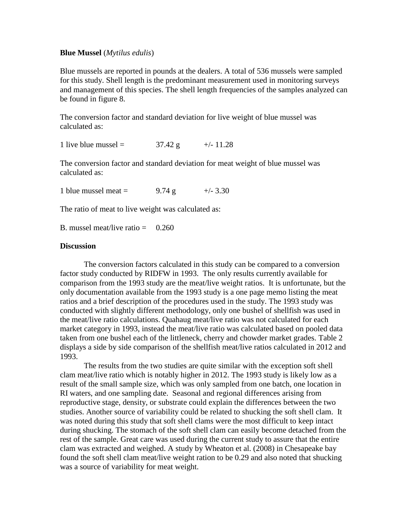#### **Blue Mussel** (*Mytilus edulis*)

Blue mussels are reported in pounds at the dealers. A total of 536 mussels were sampled for this study. Shell length is the predominant measurement used in monitoring surveys and management of this species. The shell length frequencies of the samples analyzed can be found in figure 8.

The conversion factor and standard deviation for live weight of blue mussel was calculated as:

1 live blue mussel =  $37.42 \text{ g}$  +/- 11.28

The conversion factor and standard deviation for meat weight of blue mussel was calculated as:

1 blue mussel meat =  $9.74 \text{ g}$  +/- 3.30

The ratio of meat to live weight was calculated as:

B. mussel meat/live ratio  $=$  0.260

#### **Discussion**

The conversion factors calculated in this study can be compared to a conversion factor study conducted by RIDFW in 1993. The only results currently available for comparison from the 1993 study are the meat/live weight ratios. It is unfortunate, but the only documentation available from the 1993 study is a one page memo listing the meat ratios and a brief description of the procedures used in the study. The 1993 study was conducted with slightly different methodology, only one bushel of shellfish was used in the meat/live ratio calculations. Quahaug meat/live ratio was not calculated for each market category in 1993, instead the meat/live ratio was calculated based on pooled data taken from one bushel each of the littleneck, cherry and chowder market grades. Table 2 displays a side by side comparison of the shellfish meat/live ratios calculated in 2012 and 1993.

The results from the two studies are quite similar with the exception soft shell clam meat/live ratio which is notably higher in 2012. The 1993 study is likely low as a result of the small sample size, which was only sampled from one batch, one location in RI waters, and one sampling date. Seasonal and regional differences arising from reproductive stage, density, or substrate could explain the differences between the two studies. Another source of variability could be related to shucking the soft shell clam. It was noted during this study that soft shell clams were the most difficult to keep intact during shucking. The stomach of the soft shell clam can easily become detached from the rest of the sample. Great care was used during the current study to assure that the entire clam was extracted and weighed. A study by Wheaton et al. (2008) in Chesapeake bay found the soft shell clam meat/live weight ration to be 0.29 and also noted that shucking was a source of variability for meat weight.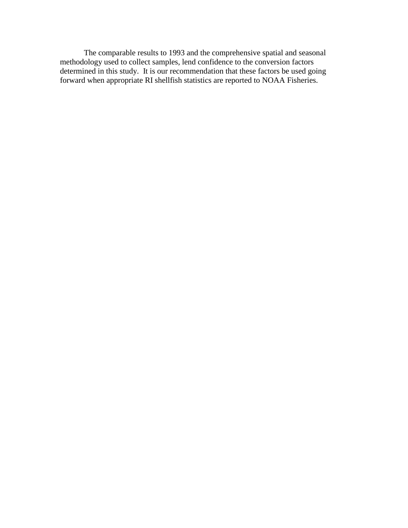The comparable results to 1993 and the comprehensive spatial and seasonal methodology used to collect samples, lend confidence to the conversion factors determined in this study. It is our recommendation that these factors be used going forward when appropriate RI shellfish statistics are reported to NOAA Fisheries.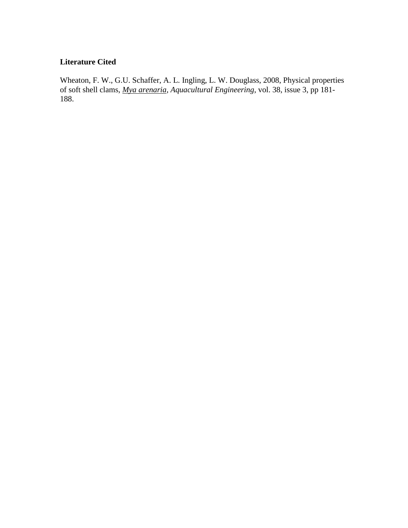## **Literature Cited**

Wheaton, F. W., G.U. Schaffer, A. L. Ingling, L. W. Douglass, 2008, Physical properties of soft shell clams, *Mya arenaria*, *Aquacultural Engineering*, vol. 38, issue 3, pp 181- 188.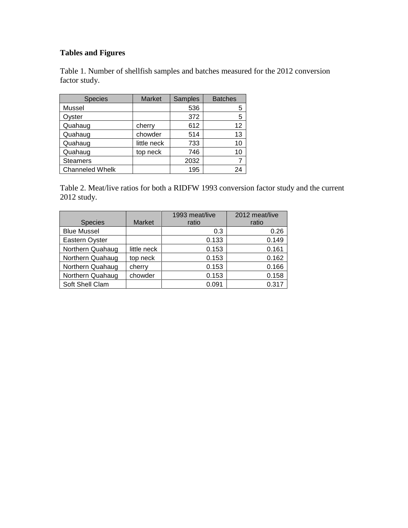# **Tables and Figures**

Table 1. Number of shellfish samples and batches measured for the 2012 conversion factor study.

| <b>Species</b>         | Market      | Samples | <b>Batches</b> |  |
|------------------------|-------------|---------|----------------|--|
| Mussel                 |             | 536     | 5              |  |
| Oyster                 |             | 372     | 5              |  |
| Quahaug                | cherry      | 612     | 12             |  |
| Quahaug                | chowder     | 514     | 13             |  |
| Quahaug                | little neck | 733     | 10             |  |
| Quahaug                | top neck    | 746     | 10             |  |
| <b>Steamers</b>        |             | 2032    |                |  |
| <b>Channeled Whelk</b> |             | 195     | 24             |  |

Table 2. Meat/live ratios for both a RIDFW 1993 conversion factor study and the current 2012 study.

|                    |               | 1993 meat/live | 2012 meat/live |
|--------------------|---------------|----------------|----------------|
| <b>Species</b>     | <b>Market</b> | ratio          | ratio          |
| <b>Blue Mussel</b> |               | 0.3            | 0.26           |
| Eastern Oyster     |               | 0.133          | 0.149          |
| Northern Quahaug   | little neck   | 0.153          | 0.161          |
| Northern Quahaug   | top neck      | 0.153          | 0.162          |
| Northern Quahaug   | cherry        | 0.153          | 0.166          |
| Northern Quahaug   | chowder       | 0.153          | 0.158          |
| Soft Shell Clam    |               | 0.091          | 0.317          |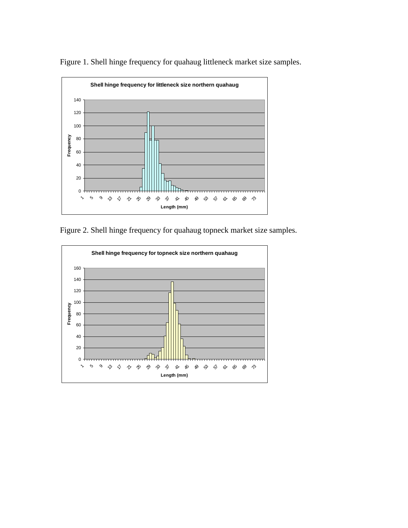

Figure 1. Shell hinge frequency for quahaug littleneck market size samples.

Figure 2. Shell hinge frequency for quahaug topneck market size samples.

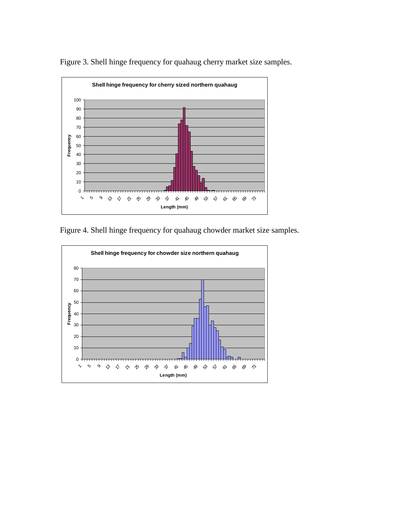

Figure 3. Shell hinge frequency for quahaug cherry market size samples.

Figure 4. Shell hinge frequency for quahaug chowder market size samples.

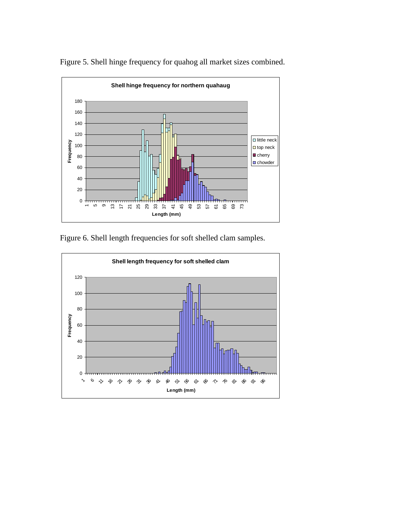

Figure 5. Shell hinge frequency for quahog all market sizes combined.

Figure 6. Shell length frequencies for soft shelled clam samples.